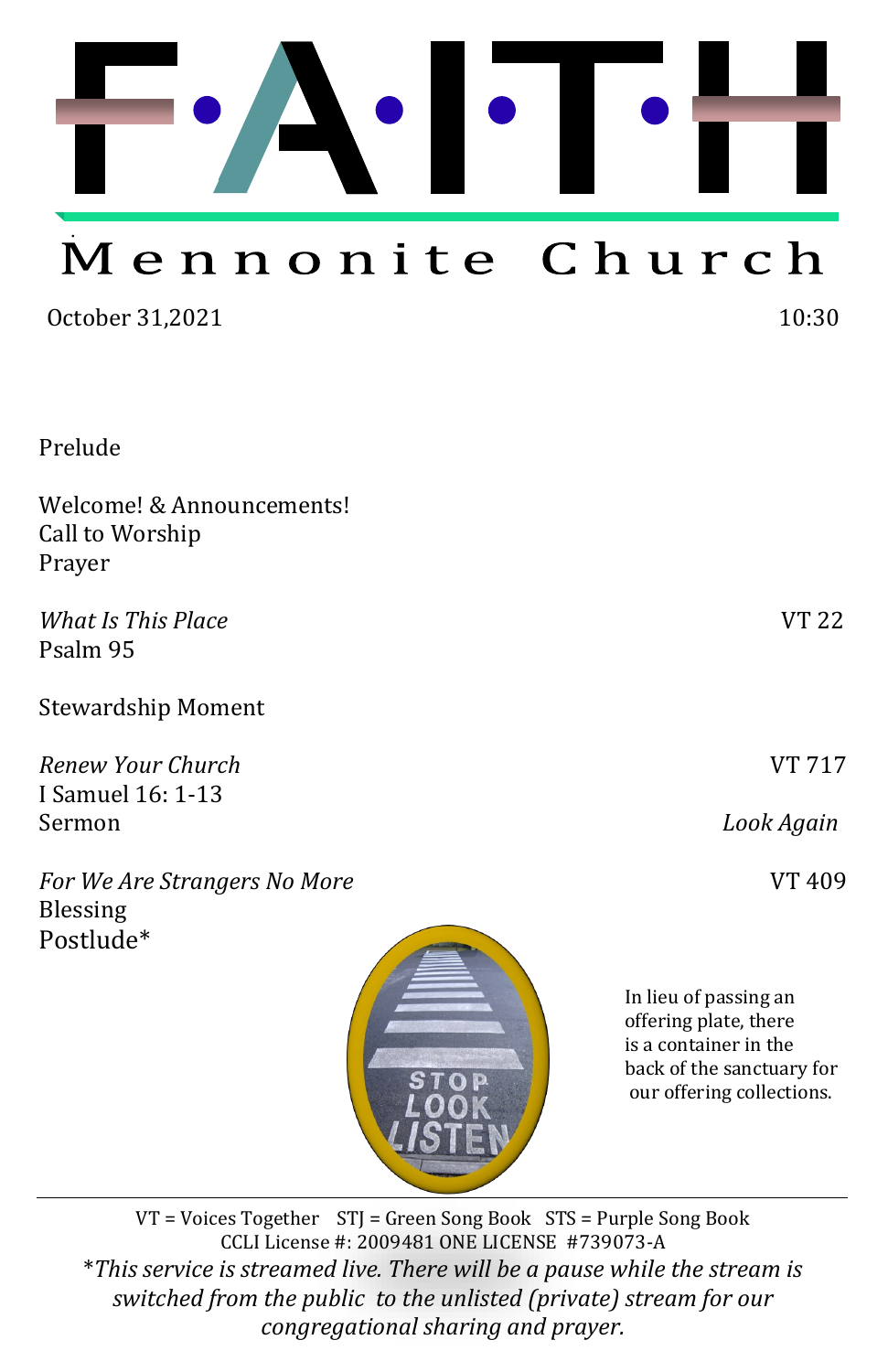

# Mennonite Church

October 31,2021 10:30

Prelude

Welcome! & Announcements! Call to Worship Prayer

*What Is This Place* VT 22 Psalm 95

Stewardship Moment

*Renew Your Church* VT 717 I Samuel 16: 1-13 Sermon *Look Again* 

*For We Are Strangers No More VT 409* Blessing Postlude\*



In lieu of passing an offering plate, there is a container in the back of the sanctuary for our offering collections.

VT = Voices Together STJ = Green Song Book STS = Purple Song Book CCLI License #: 2009481 ONE LICENSE #739073-A \**This service is streamed live. There will be a pause while the stream is switched from the public to the unlisted (private) stream for our congregational sharing and prayer.*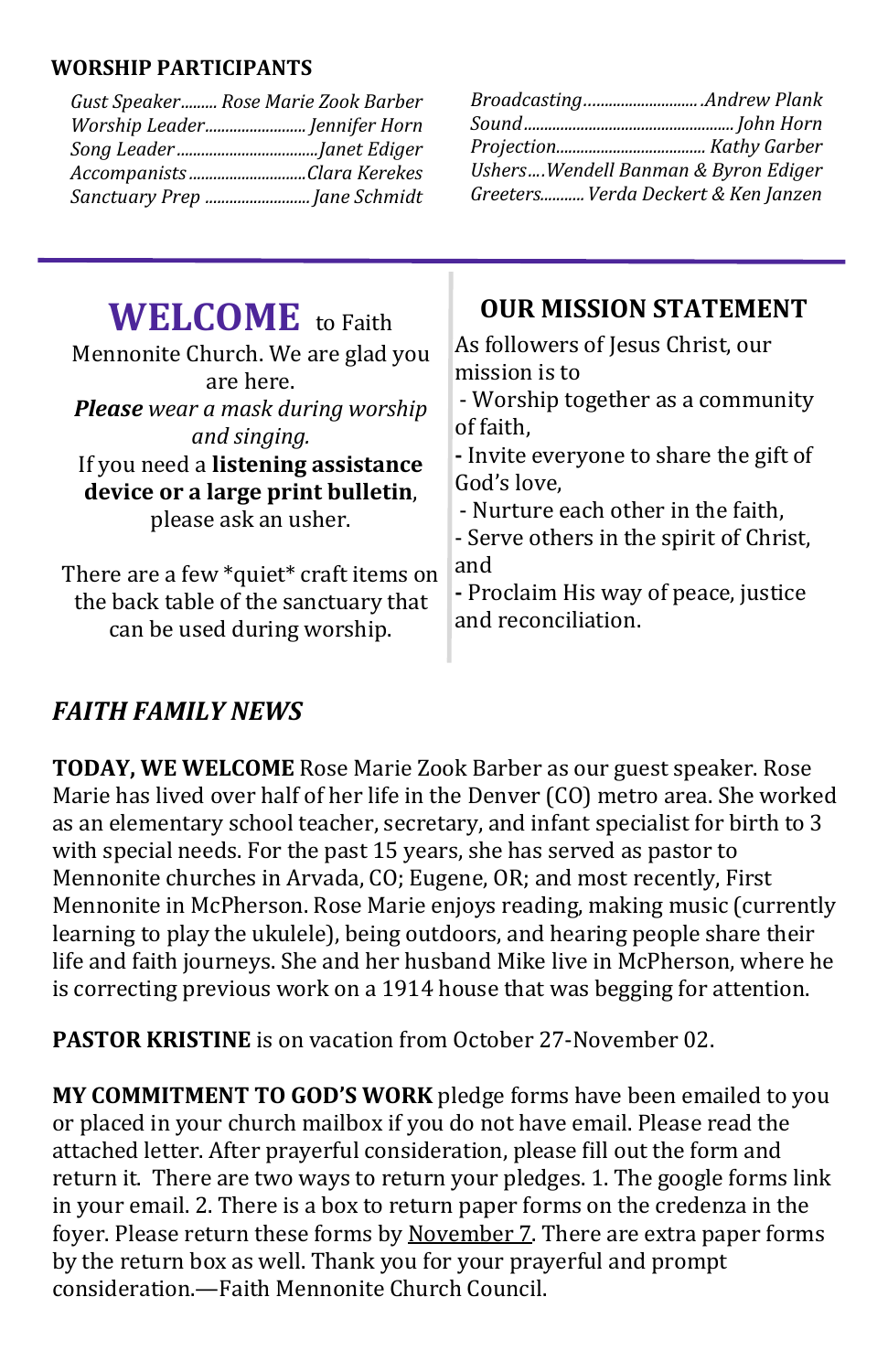#### **WORSHIP PARTICIPANTS**

| Gust Speaker Rose Marie Zook Barber |                                     |  |  |
|-------------------------------------|-------------------------------------|--|--|
| Worship Leader Jennifer Horn        |                                     |  |  |
|                                     |                                     |  |  |
| AccompanistsClara Kerekes           | UshersWendell Banman & Byron Ediger |  |  |
| Sanctuary Prep  Jane Schmidt        | Greeters Verda Deckert & Ken Janzen |  |  |
|                                     |                                     |  |  |

J.

| As followers of Jesus Christ, our<br>Mennonite Church. We are glad you<br>mission is to<br>are here.<br>Please wear a mask during worship<br>of faith,<br>and singing.<br>If you need a listening assistance<br>God's love,<br>device or a large print bulletin,<br>please ask an usher.<br>and<br>There are a few *quiet* craft items on<br>the back table of the sanctuary that<br>and reconciliation.<br>can be used during worship. | - Worship together as a community<br>- Invite everyone to share the gift of<br>- Nurture each other in the faith,<br>- Serve others in the spirit of Christ,<br>- Proclaim His way of peace, justice |
|-----------------------------------------------------------------------------------------------------------------------------------------------------------------------------------------------------------------------------------------------------------------------------------------------------------------------------------------------------------------------------------------------------------------------------------------|------------------------------------------------------------------------------------------------------------------------------------------------------------------------------------------------------|
|-----------------------------------------------------------------------------------------------------------------------------------------------------------------------------------------------------------------------------------------------------------------------------------------------------------------------------------------------------------------------------------------------------------------------------------------|------------------------------------------------------------------------------------------------------------------------------------------------------------------------------------------------------|

## *FAITH FAMILY NEWS*

**TODAY, WE WELCOME** Rose Marie Zook Barber as our guest speaker. Rose Marie has lived over half of her life in the Denver (CO) metro area. She worked as an elementary school teacher, secretary, and infant specialist for birth to 3 with special needs. For the past 15 years, she has served as pastor to Mennonite churches in Arvada, CO; Eugene, OR; and most recently, First Mennonite in McPherson. Rose Marie enjoys reading, making music (currently learning to play the ukulele), being outdoors, and hearing people share their life and faith journeys. She and her husband Mike live in McPherson, where he is correcting previous work on a 1914 house that was begging for attention.

**PASTOR KRISTINE** is on vacation from October 27-November 02.

**MY COMMITMENT TO GOD'S WORK** pledge forms have been emailed to you or placed in your church mailbox if you do not have email. Please read the attached letter. After prayerful consideration, please fill out the form and return it. There are two ways to return your pledges. 1. The google forms link in your email. 2. There is a box to return paper forms on the credenza in the foyer. Please return these forms by November 7. There are extra paper forms by the return box as well. Thank you for your prayerful and prompt consideration.—Faith Mennonite Church Council.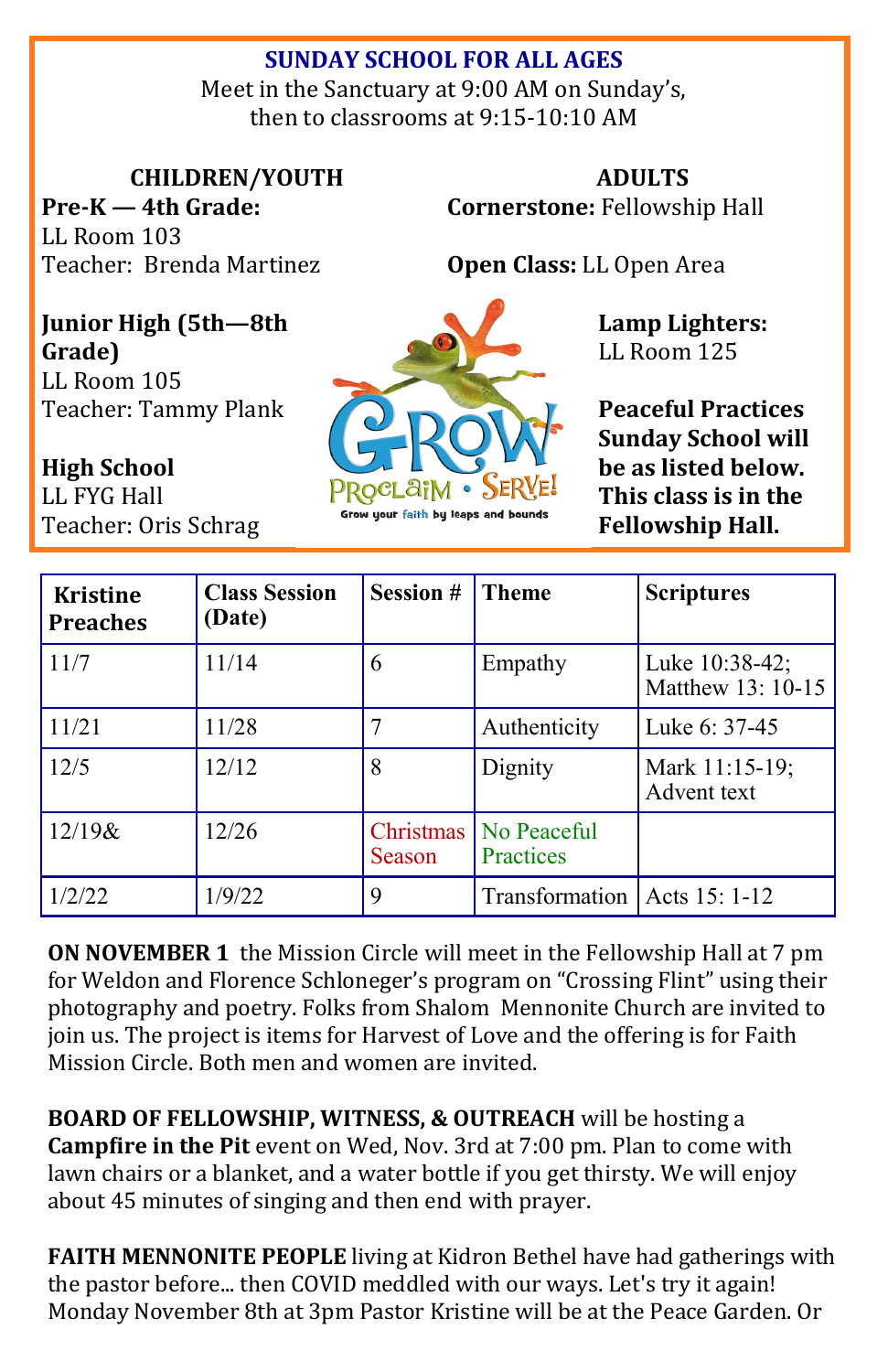## **SUNDAY SCHOOL FOR ALL AGES**

Meet in the Sanctuary at 9:00 AM on Sunday's, then to classrooms at 9:15-10:10 AM

**CHILDREN/YOUTH**

**Pre-K — 4th Grade:**  LL Room 103 Teacher: Brenda Martinez

**ADULTS Cornerstone:** Fellowship Hall

**Open Class:** LL Open Area

**Junior High (5th—8th Grade)** LL Room 105

Teacher: Tammy Plank

**High School**  LL FYG Hall Teacher: Oris Schrag



**Peaceful Practices Sunday School will be as listed below. This class is in the Fellowship Hall.**

**Lamp Lighters:**  LL Room 125

| <b>Kristine</b><br><b>Preaches</b> | <b>Class Session</b><br>(Date) | <b>Session #</b>    | Theme                          | <b>Scriptures</b>                   |
|------------------------------------|--------------------------------|---------------------|--------------------------------|-------------------------------------|
| 11/7                               | 11/14                          | 6                   | Empathy                        | Luke 10:38-42;<br>Matthew 13: 10-15 |
| 11/21                              | 11/28                          |                     | Authenticity                   | Luke 6: 37-45                       |
| 12/5                               | 12/12                          | 8                   | Dignity                        | Mark 11:15-19;<br>Advent text       |
| $12/19$ &                          | 12/26                          | Christmas<br>Season | No Peaceful<br>Practices       |                                     |
| 1/2/22                             | 1/9/22                         | 9                   | Transformation   Acts 15: 1-12 |                                     |

**ON NOVEMBER 1** the Mission Circle will meet in the Fellowship Hall at 7 pm for Weldon and Florence Schloneger's program on "Crossing Flint" using their photography and poetry. Folks from Shalom Mennonite Church are invited to join us. The project is items for Harvest of Love and the offering is for Faith Mission Circle. Both men and women are invited.

**BOARD OF FELLOWSHIP, WITNESS, & OUTREACH** will be hosting a **Campfire in the Pit** event on Wed, Nov. 3rd at 7:00 pm. Plan to come with lawn chairs or a blanket, and a water bottle if you get thirsty. We will enjoy about 45 minutes of singing and then end with prayer.

**FAITH MENNONITE PEOPLE** living at Kidron Bethel have had gatherings with the pastor before... then COVID meddled with our ways. Let's try it again! Monday November 8th at 3pm Pastor Kristine will be at the Peace Garden. Or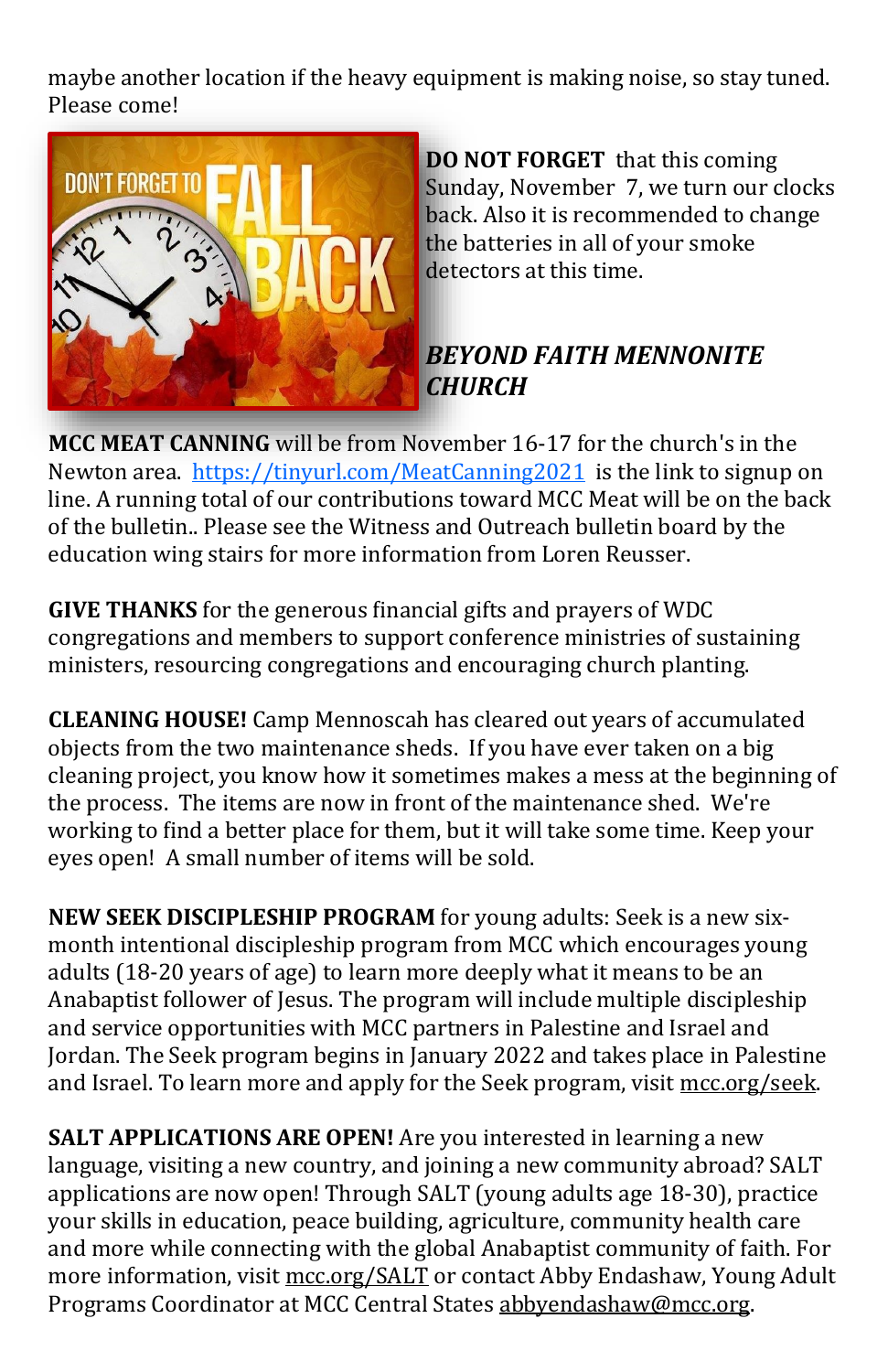maybe another location if the heavy equipment is making noise, so stay tuned. Please come!



**DO NOT FORGET** that this coming Sunday, November 7, we turn our clocks back. Also it is recommended to change the batteries in all of your smoke detectors at this time.

# *BEYOND FAITH MENNONITE CHURCH*

**MCC MEAT CANNING** will be from November 16-17 for the church's in the Newton area. <https://tinyurl.com/MeatCanning2021>is the link to signup on line. A running total of our contributions toward MCC Meat will be on the back of the bulletin.. Please see the Witness and Outreach bulletin board by the education wing stairs for more information from Loren Reusser.

**GIVE THANKS** for the generous financial gifts and prayers of WDC congregations and members to support conference ministries of sustaining ministers, resourcing congregations and encouraging church planting.

**CLEANING HOUSE!** Camp Mennoscah has cleared out years of accumulated objects from the two maintenance sheds. If you have ever taken on a big cleaning project, you know how it sometimes makes a mess at the beginning of the process. The items are now in front of the maintenance shed. We're working to find a better place for them, but it will take some time. Keep your eyes open! A small number of items will be sold.

**NEW SEEK DISCIPLESHIP PROGRAM** for young adults: Seek is a new sixmonth intentional discipleship program from MCC which encourages young adults (18-20 years of age) to learn more deeply what it means to be an Anabaptist follower of Jesus. The program will include multiple discipleship and service opportunities with MCC partners in Palestine and Israel and Jordan. The Seek program begins in January 2022 and takes place in Palestine and Israel. To learn more and apply for the Seek program, visit [mcc.org/seek.](https://can01.safelinks.protection.outlook.com/?url=http%3A%2F%2Fmcc.org%2Fseek&data=04%7C01%7CTinaSchrag%40mcc.org%7Cb50ab404c1d94ae7dcbb08d9989cd699%7C169838f761344f5b8d1ab2d131856f52%7C0%7C0%7C637708621641829788%7CUnknown%7CTWFpbGZsb3d8eyJWIjoiMC4wLjAwMDAi)

**SALT APPLICATIONS ARE OPEN!** Are you interested in learning a new language, visiting a new country, and joining a new community abroad? SALT applications are now open! Through SALT (young adults age 18-30), practice your skills in education, peace building, agriculture, community health care and more while connecting with the global Anabaptist community of faith. For more information, visit [mcc.org/SALT](https://mcc.org/get-involved/serve/volunteer/salt) or contact Abby Endashaw, Young Adult Programs Coordinator at MCC Central States [abbyendashaw@mcc.org.](mailto:abbyendashaw@mcc.org)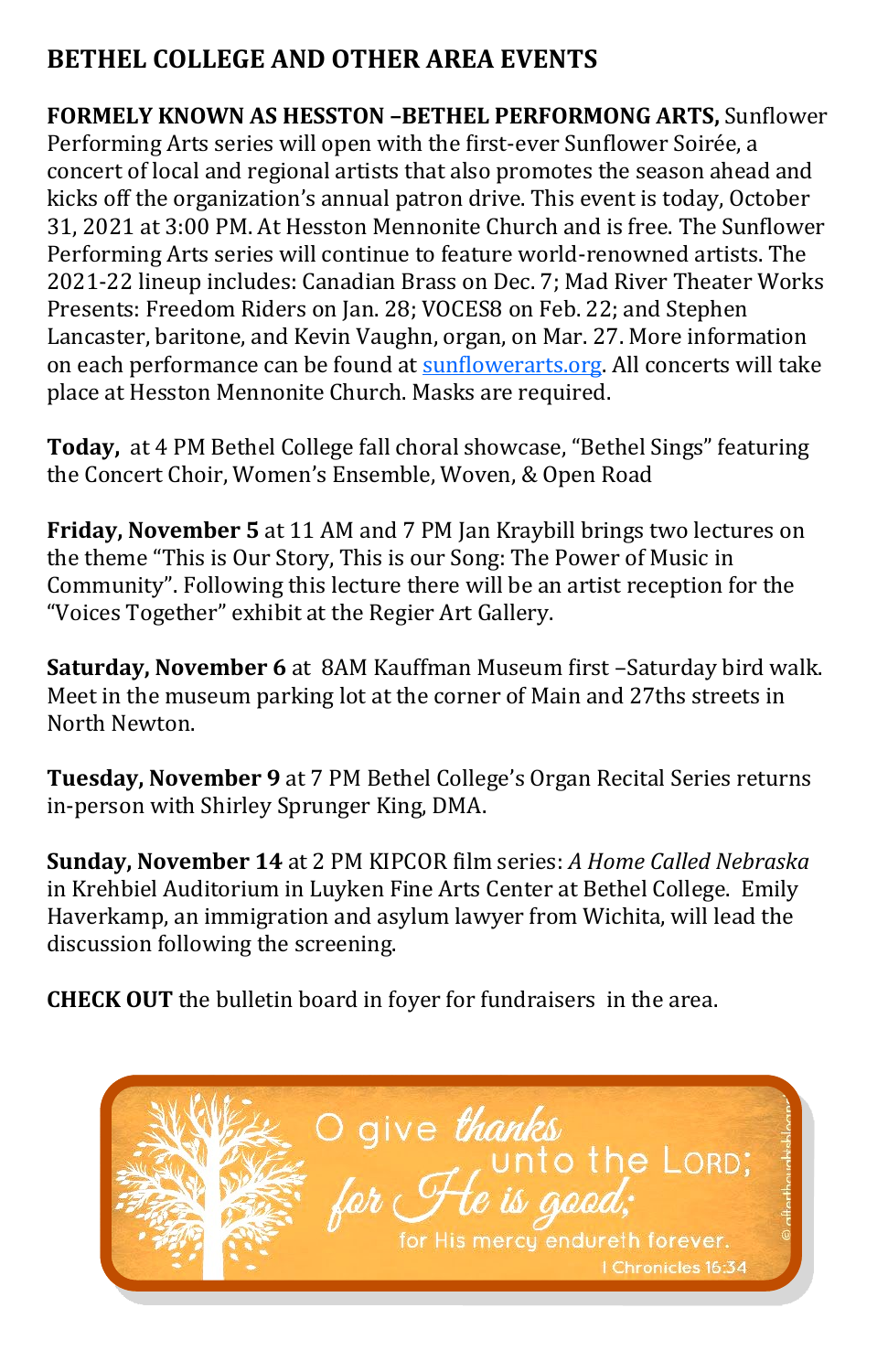# **BETHEL COLLEGE AND OTHER AREA EVENTS**

**FORMELY KNOWN AS HESSTON –BETHEL PERFORMONG ARTS,** Sunflower Performing Arts series will open with the first-ever Sunflower Soirée, a concert of local and regional artists that also promotes the season ahead and kicks off the organization's annual patron drive. This event is today, October 31, 2021 at 3:00 PM. At Hesston Mennonite Church and is free. The Sunflower Performing Arts series will continue to feature world-renowned artists. The 2021-22 lineup includes: Canadian Brass on Dec. 7; Mad River Theater Works Presents: Freedom Riders on Jan. 28; VOCES8 on Feb. 22; and Stephen Lancaster, baritone, and Kevin Vaughn, organ, on Mar. 27. More information on each performance can be found at [sunflowerarts.org.](https://www.hesston.edu/sunflower-performing-arts/) All concerts will take place at Hesston Mennonite Church. Masks are required.

**Today,** at 4 PM Bethel College fall choral showcase, "Bethel Sings" featuring the Concert Choir, Women's Ensemble, Woven, & Open Road

**Friday, November 5** at 11 AM and 7 PM Jan Kraybill brings two lectures on the theme "This is Our Story, This is our Song: The Power of Music in Community". Following this lecture there will be an artist reception for the "Voices Together" exhibit at the Regier Art Gallery.

**Saturday, November 6** at 8AM Kauffman Museum first –Saturday bird walk. Meet in the museum parking lot at the corner of Main and 27ths streets in North Newton.

**Tuesday, November 9** at 7 PM Bethel College's Organ Recital Series returns in-person with Shirley Sprunger King, DMA.

**Sunday, November 14** at 2 PM KIPCOR film series: *A Home Called Nebraska*  in Krehbiel Auditorium in Luyken Fine Arts Center at Bethel College. Emily Haverkamp, an immigration and asylum lawyer from Wichita, will lead the discussion following the screening.

**CHECK OUT** the bulletin board in foyer for fundraisers in the area.